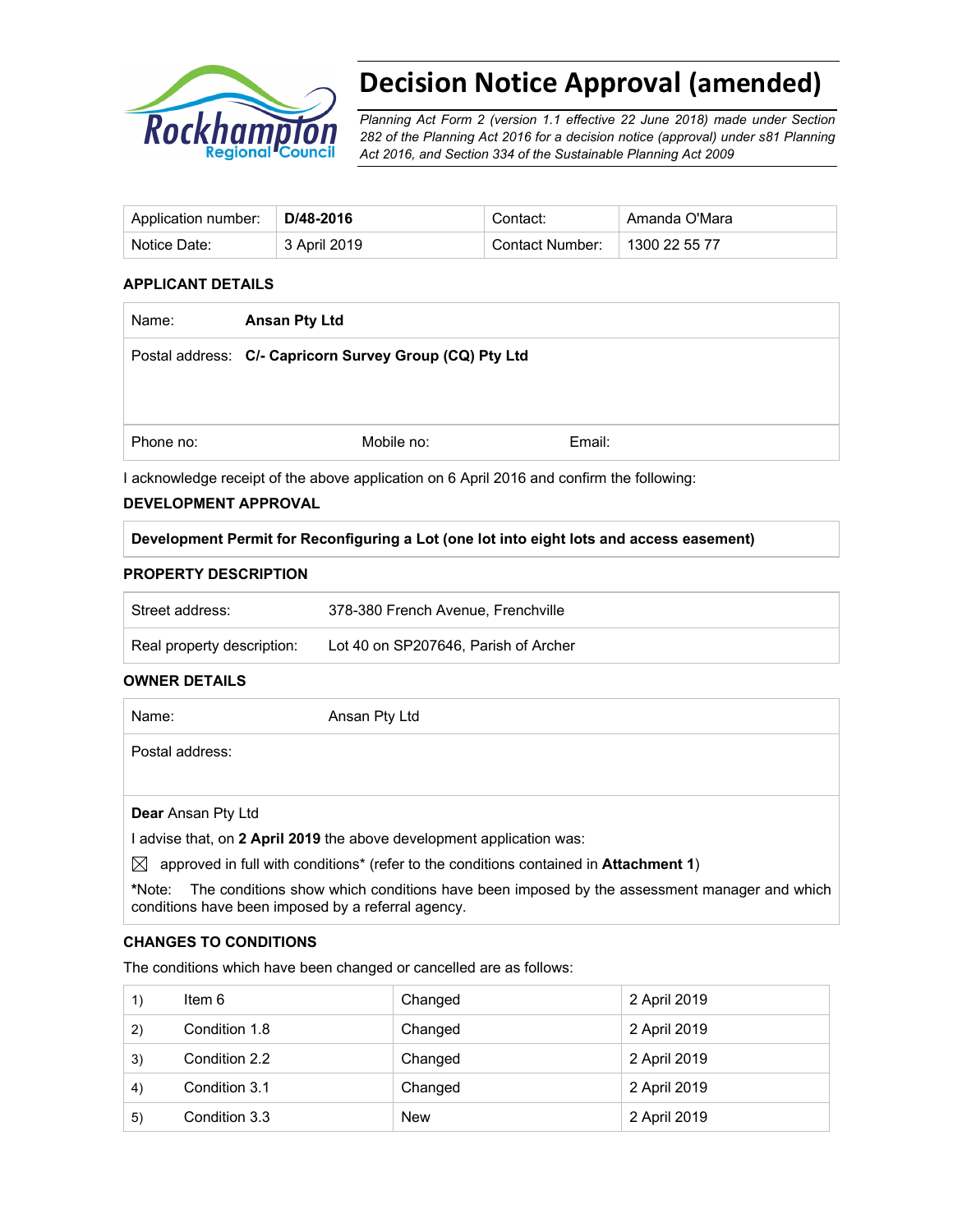

# **Decision Notice Approval (amended)**

*Planning Act Form 2 (version 1.1 effective 22 June 2018) made under Section 282 of the Planning Act 2016 for a decision notice (approval) under s81 Planning Act 2016, and Section 334 of the Sustainable Planning Act 2009*

| Application number: | D/48-2016    | Contact:        | Amanda O'Mara |
|---------------------|--------------|-----------------|---------------|
| Notice Date:        | 3 April 2019 | Contact Number: | 1300 22 55 77 |

#### **APPLICANT DETAILS**

| Name:     | <b>Ansan Pty Ltd</b>                                    |        |  |
|-----------|---------------------------------------------------------|--------|--|
|           | Postal address: C/- Capricorn Survey Group (CQ) Pty Ltd |        |  |
|           |                                                         |        |  |
|           |                                                         |        |  |
| Phone no: | Mobile no:                                              | Email: |  |

I acknowledge receipt of the above application on 6 April 2016 and confirm the following:

#### **DEVELOPMENT APPROVAL**

**Development Permit for Reconfiguring a Lot (one lot into eight lots and access easement)** 

#### **PROPERTY DESCRIPTION**

| Street address:            | 378-380 French Avenue, Frenchville   |
|----------------------------|--------------------------------------|
| Real property description: | Lot 40 on SP207646, Parish of Archer |

#### **OWNER DETAILS**

| Name:              | Ansan Pty Ltd                                                         |
|--------------------|-----------------------------------------------------------------------|
| Postal address:    |                                                                       |
|                    |                                                                       |
| Dear Ansan Pty Ltd |                                                                       |
|                    | I advise that, on 2 April 2019 the above development application was: |

 $\boxtimes$  approved in full with conditions<sup>\*</sup> (refer to the conditions contained in **Attachment 1**)

**\***Note:The conditions show which conditions have been imposed by the assessment manager and which conditions have been imposed by a referral agency.

#### **CHANGES TO CONDITIONS**

The conditions which have been changed or cancelled are as follows:

| 1) | Item 6        | Changed    | 2 April 2019 |
|----|---------------|------------|--------------|
| 2) | Condition 1.8 | Changed    | 2 April 2019 |
| 3) | Condition 2.2 | Changed    | 2 April 2019 |
| 4) | Condition 3.1 | Changed    | 2 April 2019 |
| 5) | Condition 3.3 | <b>New</b> | 2 April 2019 |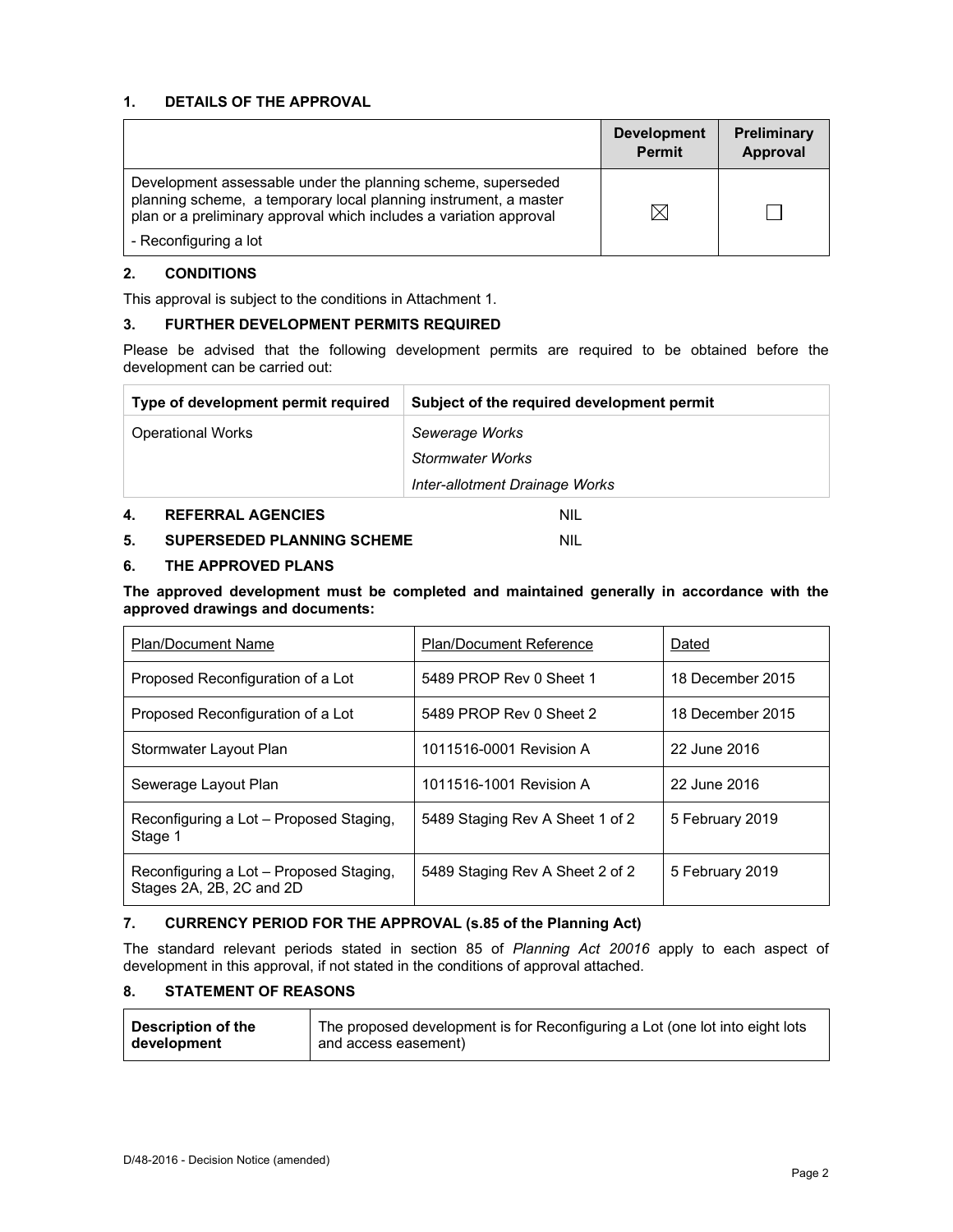#### **1. DETAILS OF THE APPROVAL**

|                                                                                                                                                                                                        | <b>Development</b><br><b>Permit</b> | <b>Preliminary</b><br>Approval |
|--------------------------------------------------------------------------------------------------------------------------------------------------------------------------------------------------------|-------------------------------------|--------------------------------|
| Development assessable under the planning scheme, superseded<br>planning scheme, a temporary local planning instrument, a master<br>plan or a preliminary approval which includes a variation approval |                                     |                                |
| - Reconfiguring a lot                                                                                                                                                                                  |                                     |                                |

#### **2. CONDITIONS**

This approval is subject to the conditions in Attachment 1.

#### **3. FURTHER DEVELOPMENT PERMITS REQUIRED**

Please be advised that the following development permits are required to be obtained before the development can be carried out:

| Type of development permit required | Subject of the required development permit |
|-------------------------------------|--------------------------------------------|
| <b>Operational Works</b>            | Sewerage Works                             |
|                                     | <b>Stormwater Works</b>                    |
|                                     | Inter-allotment Drainage Works             |
|                                     |                                            |

# **4. REFERRAL AGENCIES** NIL

# **5. SUPERSEDED PLANNING SCHEME** NIL

#### **6. THE APPROVED PLANS**

**The approved development must be completed and maintained generally in accordance with the approved drawings and documents:** 

| <b>Plan/Document Name</b>                                           | <b>Plan/Document Reference</b>  | Dated            |
|---------------------------------------------------------------------|---------------------------------|------------------|
| Proposed Reconfiguration of a Lot                                   | 5489 PROP Rev 0 Sheet 1         | 18 December 2015 |
| Proposed Reconfiguration of a Lot                                   | 5489 PROP Rev 0 Sheet 2         | 18 December 2015 |
| Stormwater Layout Plan                                              | 1011516-0001 Revision A         | 22 June 2016     |
| Sewerage Layout Plan                                                | 1011516-1001 Revision A         | 22 June 2016     |
| Reconfiguring a Lot - Proposed Staging,<br>Stage 1                  | 5489 Staging Rev A Sheet 1 of 2 | 5 February 2019  |
| Reconfiguring a Lot - Proposed Staging,<br>Stages 2A, 2B, 2C and 2D | 5489 Staging Rev A Sheet 2 of 2 | 5 February 2019  |

#### **7. CURRENCY PERIOD FOR THE APPROVAL (s.85 of the Planning Act)**

The standard relevant periods stated in section 85 of *Planning Act 20016* apply to each aspect of development in this approval, if not stated in the conditions of approval attached.

#### **8. STATEMENT OF REASONS**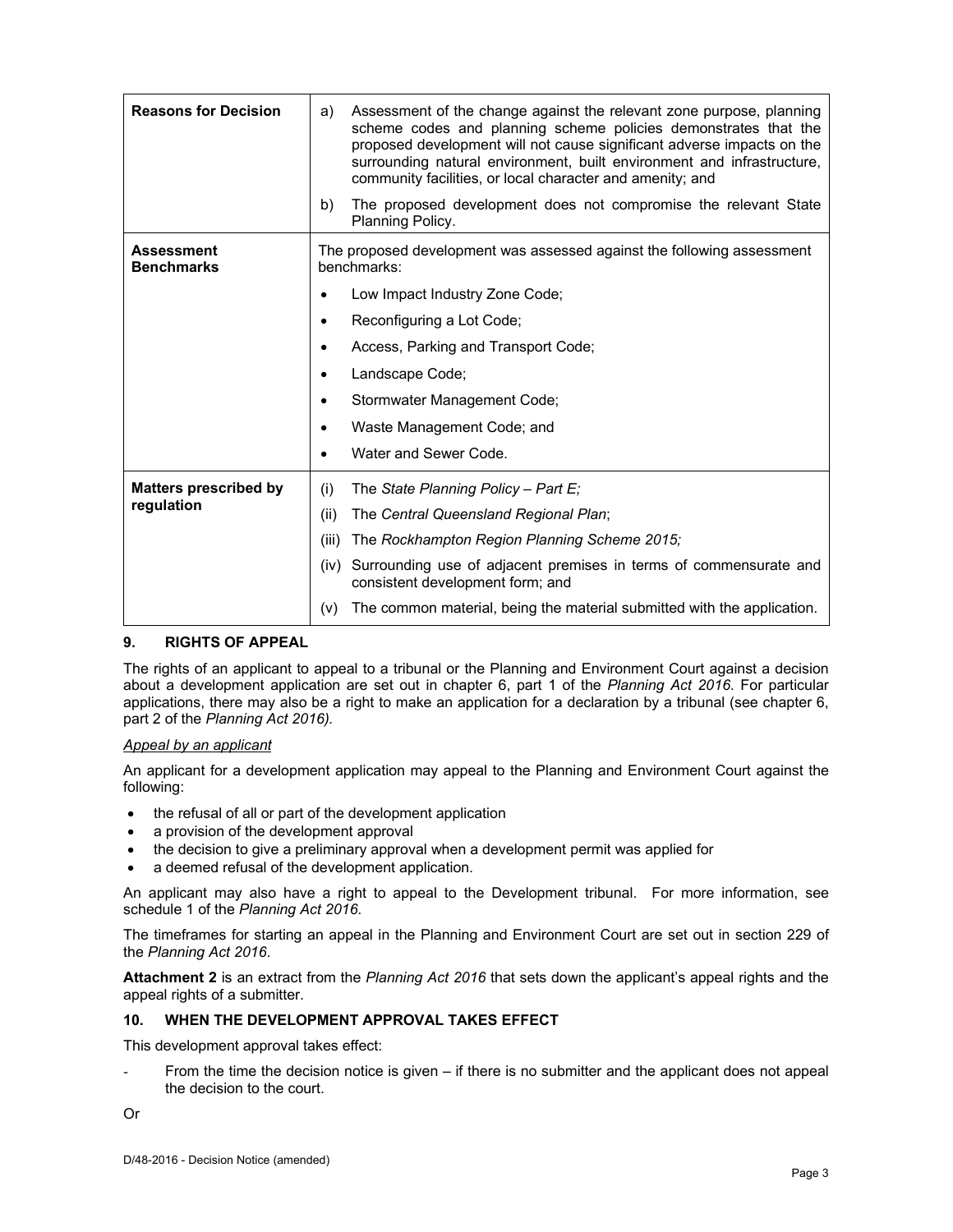| <b>Reasons for Decision</b>            | Assessment of the change against the relevant zone purpose, planning<br>a)<br>scheme codes and planning scheme policies demonstrates that the<br>proposed development will not cause significant adverse impacts on the<br>surrounding natural environment, built environment and infrastructure,<br>community facilities, or local character and amenity; and |  |
|----------------------------------------|----------------------------------------------------------------------------------------------------------------------------------------------------------------------------------------------------------------------------------------------------------------------------------------------------------------------------------------------------------------|--|
|                                        | The proposed development does not compromise the relevant State<br>b)<br>Planning Policy.                                                                                                                                                                                                                                                                      |  |
| <b>Assessment</b><br><b>Benchmarks</b> | The proposed development was assessed against the following assessment<br>benchmarks:                                                                                                                                                                                                                                                                          |  |
|                                        | Low Impact Industry Zone Code;                                                                                                                                                                                                                                                                                                                                 |  |
|                                        | Reconfiguring a Lot Code;                                                                                                                                                                                                                                                                                                                                      |  |
|                                        | Access, Parking and Transport Code;                                                                                                                                                                                                                                                                                                                            |  |
|                                        | Landscape Code;<br>٠                                                                                                                                                                                                                                                                                                                                           |  |
|                                        | Stormwater Management Code;<br>٠                                                                                                                                                                                                                                                                                                                               |  |
|                                        | Waste Management Code; and                                                                                                                                                                                                                                                                                                                                     |  |
|                                        | Water and Sewer Code.                                                                                                                                                                                                                                                                                                                                          |  |
| <b>Matters prescribed by</b>           | The State Planning Policy - Part E;<br>(i)                                                                                                                                                                                                                                                                                                                     |  |
| regulation                             | The Central Queensland Regional Plan;<br>(ii)                                                                                                                                                                                                                                                                                                                  |  |
|                                        | The Rockhampton Region Planning Scheme 2015;<br>(iii)                                                                                                                                                                                                                                                                                                          |  |
|                                        | Surrounding use of adjacent premises in terms of commensurate and<br>(iv)<br>consistent development form; and                                                                                                                                                                                                                                                  |  |
|                                        | The common material, being the material submitted with the application.<br>(v)                                                                                                                                                                                                                                                                                 |  |

#### **9. RIGHTS OF APPEAL**

The rights of an applicant to appeal to a tribunal or the Planning and Environment Court against a decision about a development application are set out in chapter 6, part 1 of the *Planning Act 2016*. For particular applications, there may also be a right to make an application for a declaration by a tribunal (see chapter 6, part 2 of the *Planning Act 2016).*

#### *Appeal by an applicant*

An applicant for a development application may appeal to the Planning and Environment Court against the following:

- the refusal of all or part of the development application
- a provision of the development approval
- the decision to give a preliminary approval when a development permit was applied for
- a deemed refusal of the development application.

An applicant may also have a right to appeal to the Development tribunal. For more information, see schedule 1 of the *Planning Act 2016*.

The timeframes for starting an appeal in the Planning and Environment Court are set out in section 229 of the *Planning Act 2016*.

**Attachment 2** is an extract from the *Planning Act 2016* that sets down the applicant's appeal rights and the appeal rights of a submitter.

#### **10. WHEN THE DEVELOPMENT APPROVAL TAKES EFFECT**

This development approval takes effect:

From the time the decision notice is given – if there is no submitter and the applicant does not appeal the decision to the court.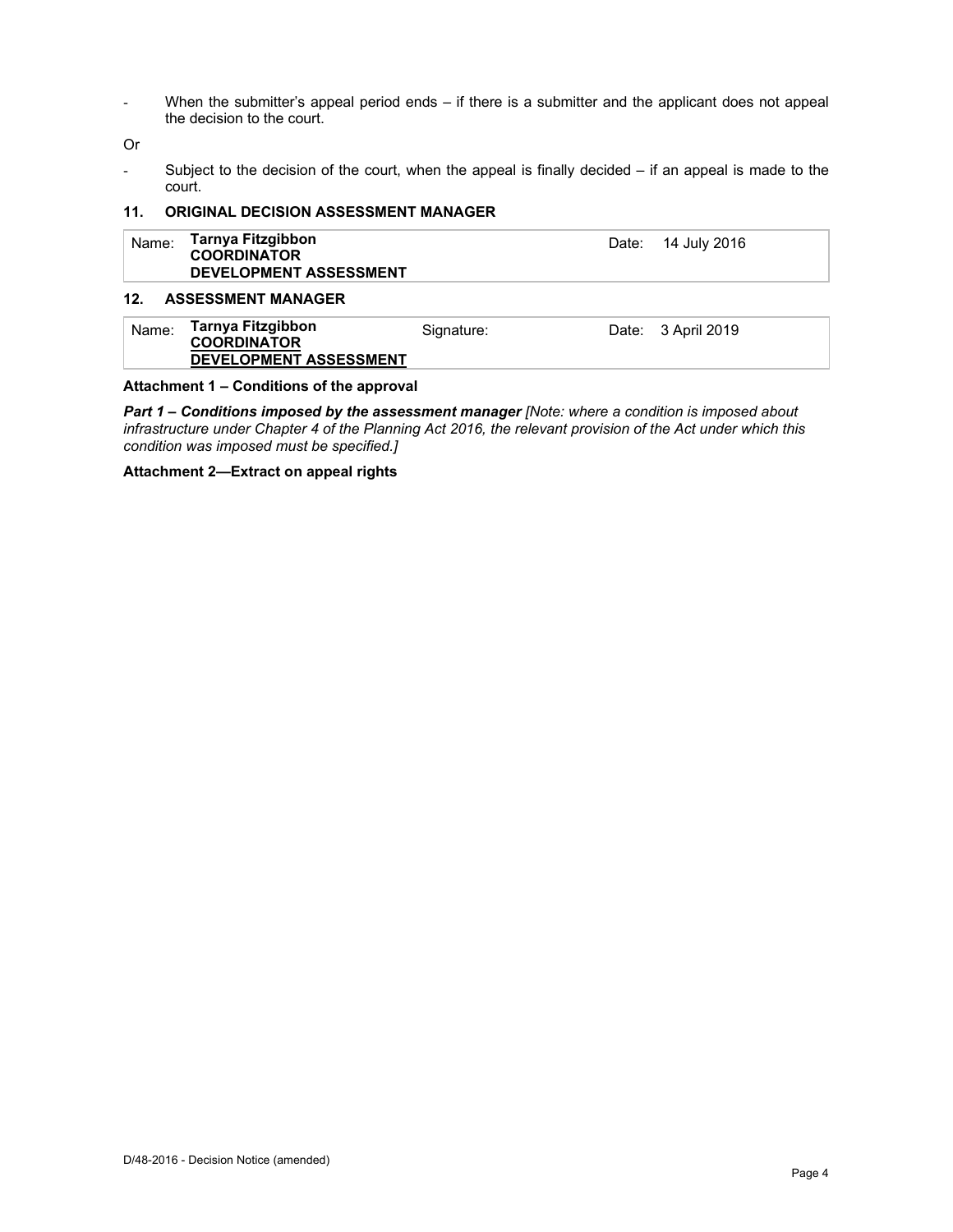- When the submitter's appeal period ends – if there is a submitter and the applicant does not appeal the decision to the court.

Or

- Subject to the decision of the court, when the appeal is finally decided – if an appeal is made to the court.

#### **11. ORIGINAL DECISION ASSESSMENT MANAGER**

| Name: | Tarnya Fitzgibbon<br><b>COORDINATOR</b><br><b>DEVELOPMENT ASSESSMENT</b> | Date: 14 July 2016 |
|-------|--------------------------------------------------------------------------|--------------------|
| 12.   | <b>ASSESSMENT MANAGER</b>                                                |                    |

| Name: | Tarnya Fitzgibbon<br><b>COORDINATOR</b><br><b>DEVELOPMENT ASSESSMENT</b> | Signature: | Date: 3 April 2019 |
|-------|--------------------------------------------------------------------------|------------|--------------------|
|       |                                                                          |            |                    |

#### **Attachment 1 – Conditions of the approval**

*Part 1* **–** *Conditions imposed by the assessment manager [Note: where a condition is imposed about infrastructure under Chapter 4 of the Planning Act 2016, the relevant provision of the Act under which this condition was imposed must be specified.]*

#### **Attachment 2—Extract on appeal rights**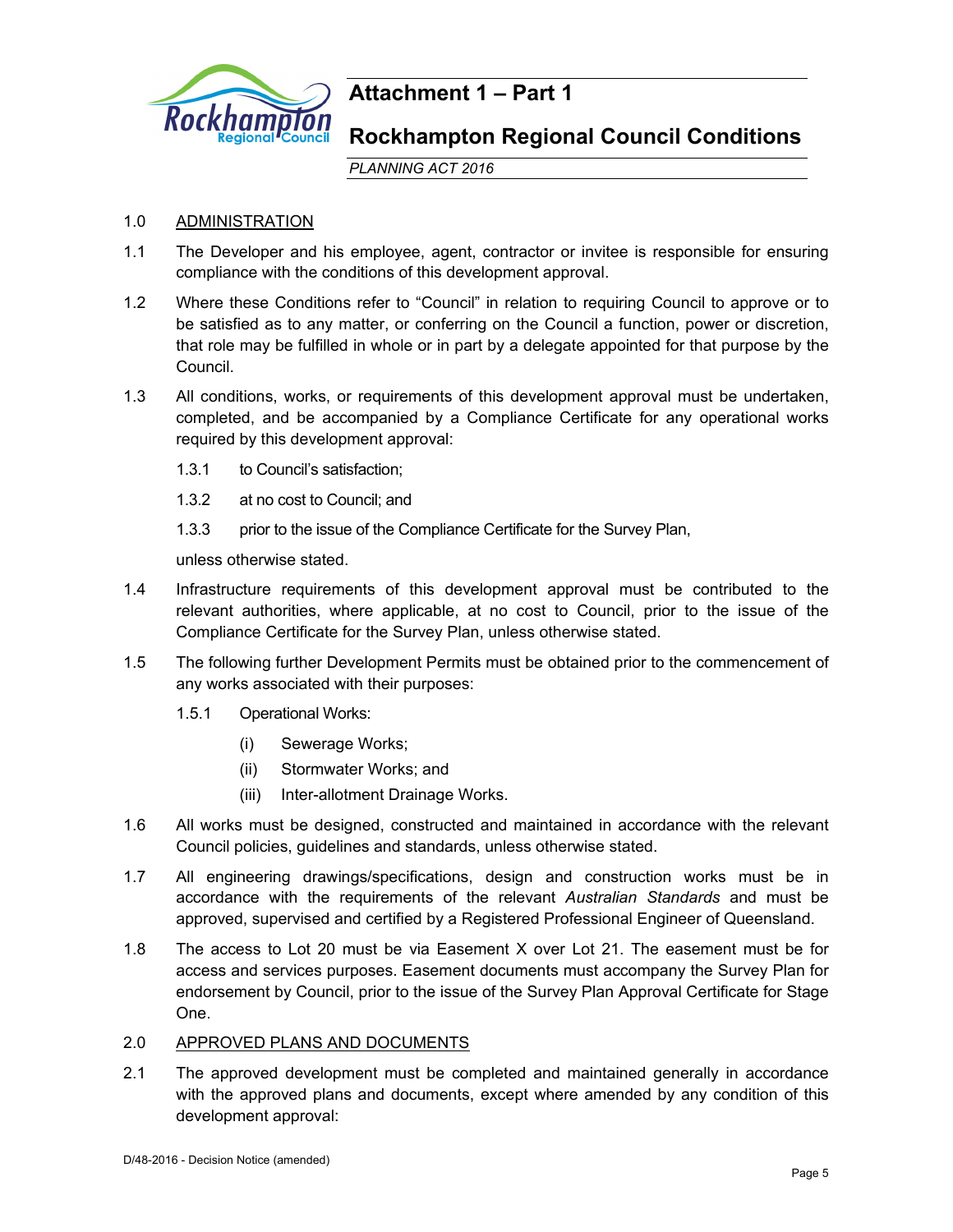

# **Attachment 1 – Part 1**

# **Rockhampton Regional Council Conditions**

*PLANNING ACT 2016*

# 1.0 ADMINISTRATION

- 1.1 The Developer and his employee, agent, contractor or invitee is responsible for ensuring compliance with the conditions of this development approval.
- 1.2 Where these Conditions refer to "Council" in relation to requiring Council to approve or to be satisfied as to any matter, or conferring on the Council a function, power or discretion, that role may be fulfilled in whole or in part by a delegate appointed for that purpose by the Council.
- 1.3 All conditions, works, or requirements of this development approval must be undertaken, completed, and be accompanied by a Compliance Certificate for any operational works required by this development approval:
	- 1.3.1 to Council's satisfaction;
	- 1.3.2 at no cost to Council; and
	- 1.3.3 prior to the issue of the Compliance Certificate for the Survey Plan,

unless otherwise stated.

- 1.4 Infrastructure requirements of this development approval must be contributed to the relevant authorities, where applicable, at no cost to Council, prior to the issue of the Compliance Certificate for the Survey Plan, unless otherwise stated.
- 1.5 The following further Development Permits must be obtained prior to the commencement of any works associated with their purposes:
	- 1.5.1 Operational Works:
		- (i) Sewerage Works;
		- (ii) Stormwater Works; and
		- (iii) Inter-allotment Drainage Works.
- 1.6 All works must be designed, constructed and maintained in accordance with the relevant Council policies, guidelines and standards, unless otherwise stated.
- 1.7 All engineering drawings/specifications, design and construction works must be in accordance with the requirements of the relevant *Australian Standards* and must be approved, supervised and certified by a Registered Professional Engineer of Queensland.
- 1.8 The access to Lot 20 must be via Easement X over Lot 21. The easement must be for access and services purposes. Easement documents must accompany the Survey Plan for endorsement by Council, prior to the issue of the Survey Plan Approval Certificate for Stage One.
- 2.0 APPROVED PLANS AND DOCUMENTS
- 2.1 The approved development must be completed and maintained generally in accordance with the approved plans and documents, except where amended by any condition of this development approval: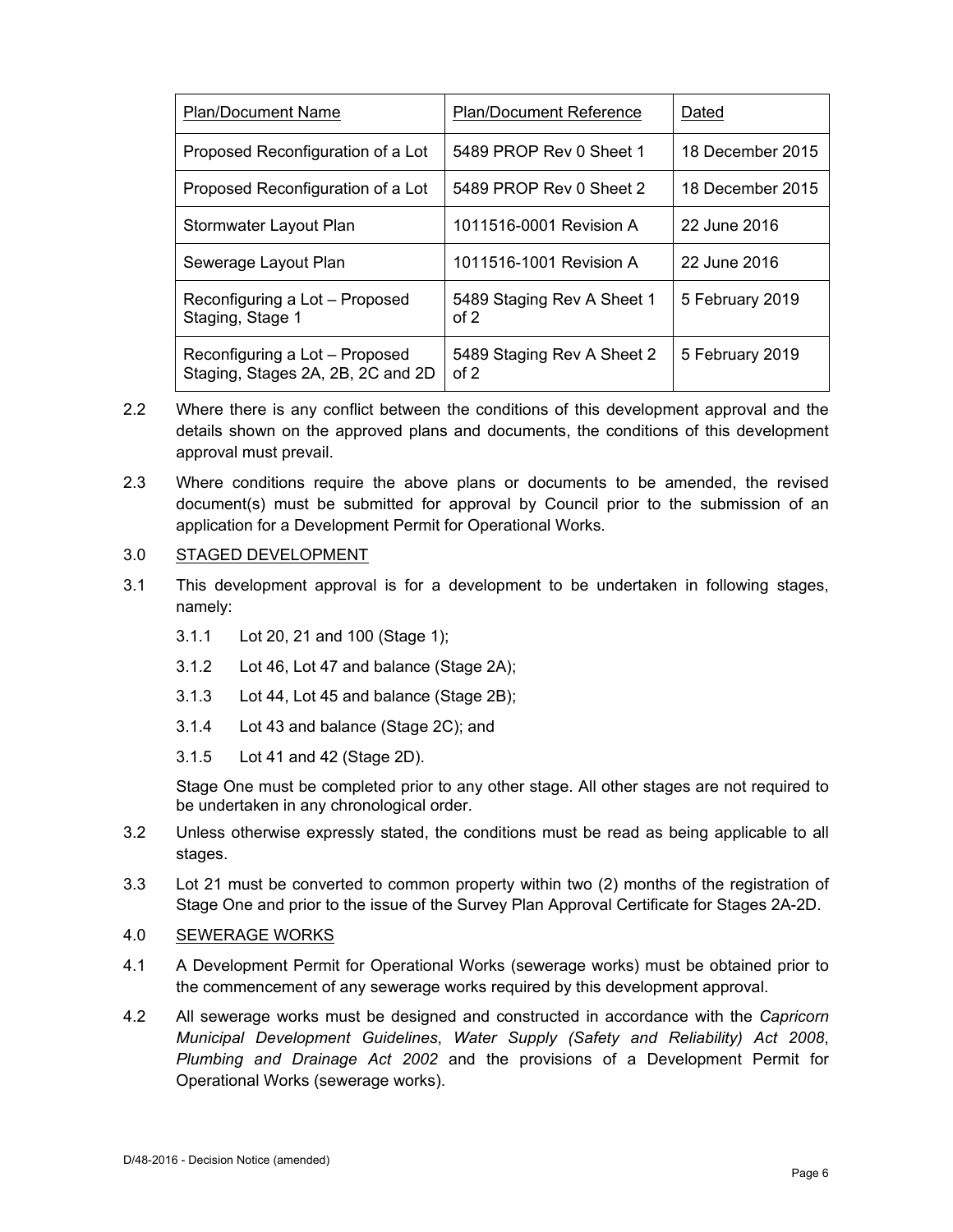| <b>Plan/Document Name</b>                                           | <b>Plan/Document Reference</b>     | Dated            |  |
|---------------------------------------------------------------------|------------------------------------|------------------|--|
| Proposed Reconfiguration of a Lot                                   | 5489 PROP Rev 0 Sheet 1            | 18 December 2015 |  |
| Proposed Reconfiguration of a Lot                                   | 5489 PROP Rev 0 Sheet 2            | 18 December 2015 |  |
| Stormwater Layout Plan                                              | 1011516-0001 Revision A            | 22 June 2016     |  |
| Sewerage Layout Plan                                                | 1011516-1001 Revision A            | 22 June 2016     |  |
| Reconfiguring a Lot – Proposed<br>Staging, Stage 1                  | 5489 Staging Rev A Sheet 1<br>of 2 | 5 February 2019  |  |
| Reconfiguring a Lot – Proposed<br>Staging, Stages 2A, 2B, 2C and 2D | 5489 Staging Rev A Sheet 2<br>of 2 | 5 February 2019  |  |

- 2.2 Where there is any conflict between the conditions of this development approval and the details shown on the approved plans and documents, the conditions of this development approval must prevail.
- 2.3 Where conditions require the above plans or documents to be amended, the revised document(s) must be submitted for approval by Council prior to the submission of an application for a Development Permit for Operational Works.

# 3.0 STAGED DEVELOPMENT

- 3.1 This development approval is for a development to be undertaken in following stages, namely:
	- 3.1.1 Lot 20, 21 and 100 (Stage 1);
	- 3.1.2 Lot 46, Lot 47 and balance (Stage 2A);
	- 3.1.3 Lot 44, Lot 45 and balance (Stage 2B);
	- 3.1.4 Lot 43 and balance (Stage 2C); and
	- 3.1.5 Lot 41 and 42 (Stage 2D).

Stage One must be completed prior to any other stage. All other stages are not required to be undertaken in any chronological order.

- 3.2 Unless otherwise expressly stated, the conditions must be read as being applicable to all stages.
- 3.3 Lot 21 must be converted to common property within two (2) months of the registration of Stage One and prior to the issue of the Survey Plan Approval Certificate for Stages 2A-2D.
- 4.0 SEWERAGE WORKS
- 4.1 A Development Permit for Operational Works (sewerage works) must be obtained prior to the commencement of any sewerage works required by this development approval.
- 4.2 All sewerage works must be designed and constructed in accordance with the *Capricorn Municipal Development Guidelines*, *Water Supply (Safety and Reliability) Act 2008*, *Plumbing and Drainage Act 2002* and the provisions of a Development Permit for Operational Works (sewerage works).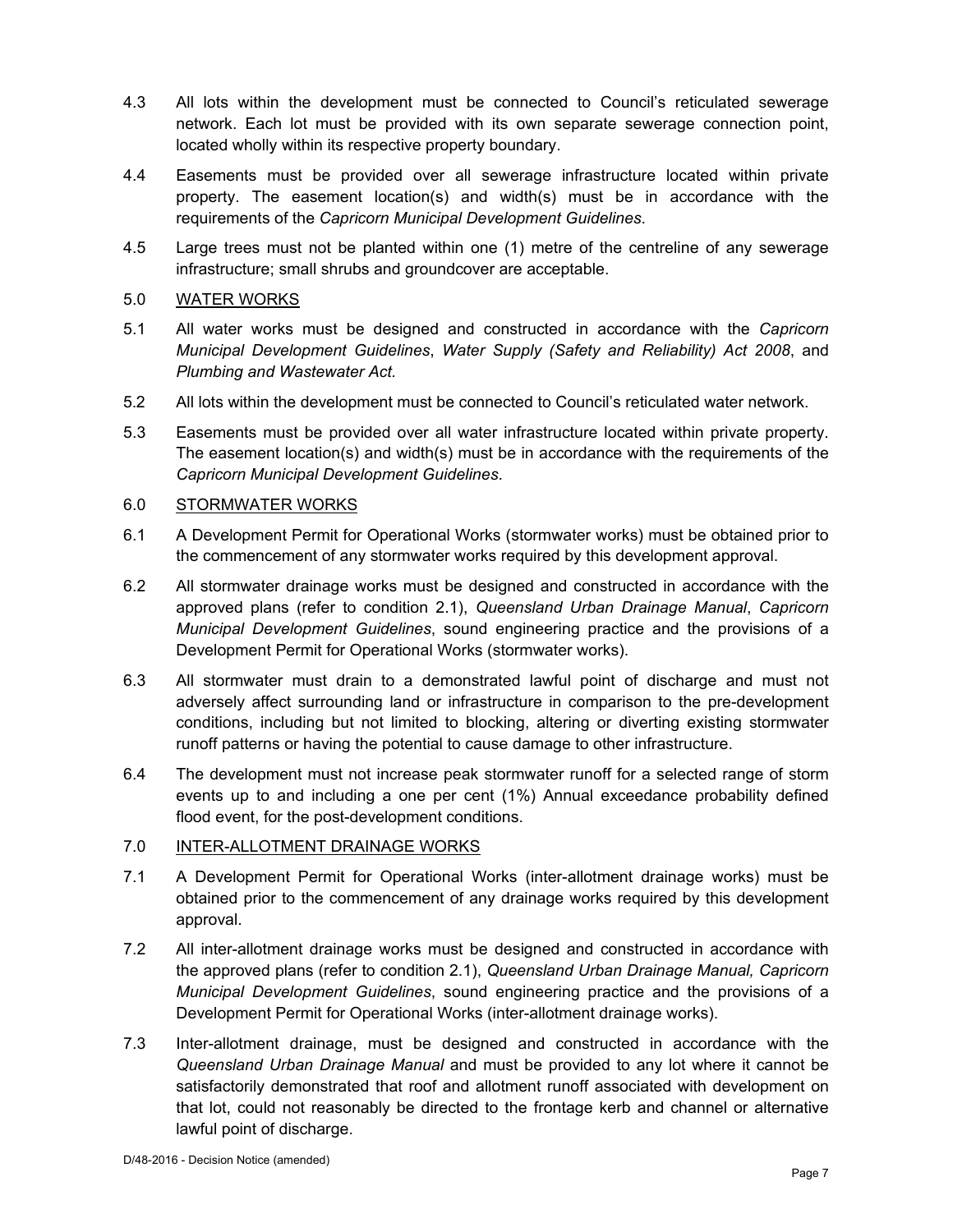- 4.3 All lots within the development must be connected to Council's reticulated sewerage network. Each lot must be provided with its own separate sewerage connection point, located wholly within its respective property boundary.
- 4.4 Easements must be provided over all sewerage infrastructure located within private property. The easement location(s) and width(s) must be in accordance with the requirements of the *Capricorn Municipal Development Guidelines*.
- 4.5 Large trees must not be planted within one (1) metre of the centreline of any sewerage infrastructure; small shrubs and groundcover are acceptable.
- 5.0 WATER WORKS
- 5.1 All water works must be designed and constructed in accordance with the *Capricorn Municipal Development Guidelines*, *Water Supply (Safety and Reliability) Act 2008*, and *Plumbing and Wastewater Act.*
- 5.2 All lots within the development must be connected to Council's reticulated water network.
- 5.3 Easements must be provided over all water infrastructure located within private property. The easement location(s) and width(s) must be in accordance with the requirements of the *Capricorn Municipal Development Guidelines*.

# 6.0 STORMWATER WORKS

- 6.1 A Development Permit for Operational Works (stormwater works) must be obtained prior to the commencement of any stormwater works required by this development approval.
- 6.2 All stormwater drainage works must be designed and constructed in accordance with the approved plans (refer to condition 2.1), *Queensland Urban Drainage Manual*, *Capricorn Municipal Development Guidelines*, sound engineering practice and the provisions of a Development Permit for Operational Works (stormwater works).
- 6.3 All stormwater must drain to a demonstrated lawful point of discharge and must not adversely affect surrounding land or infrastructure in comparison to the pre-development conditions, including but not limited to blocking, altering or diverting existing stormwater runoff patterns or having the potential to cause damage to other infrastructure.
- 6.4 The development must not increase peak stormwater runoff for a selected range of storm events up to and including a one per cent (1%) Annual exceedance probability defined flood event, for the post-development conditions.
- 7.0 INTER-ALLOTMENT DRAINAGE WORKS
- 7.1 A Development Permit for Operational Works (inter-allotment drainage works) must be obtained prior to the commencement of any drainage works required by this development approval.
- 7.2 All inter-allotment drainage works must be designed and constructed in accordance with the approved plans (refer to condition 2.1), *Queensland Urban Drainage Manual, Capricorn Municipal Development Guidelines*, sound engineering practice and the provisions of a Development Permit for Operational Works (inter-allotment drainage works).
- 7.3 Inter-allotment drainage, must be designed and constructed in accordance with the *Queensland Urban Drainage Manual* and must be provided to any lot where it cannot be satisfactorily demonstrated that roof and allotment runoff associated with development on that lot, could not reasonably be directed to the frontage kerb and channel or alternative lawful point of discharge.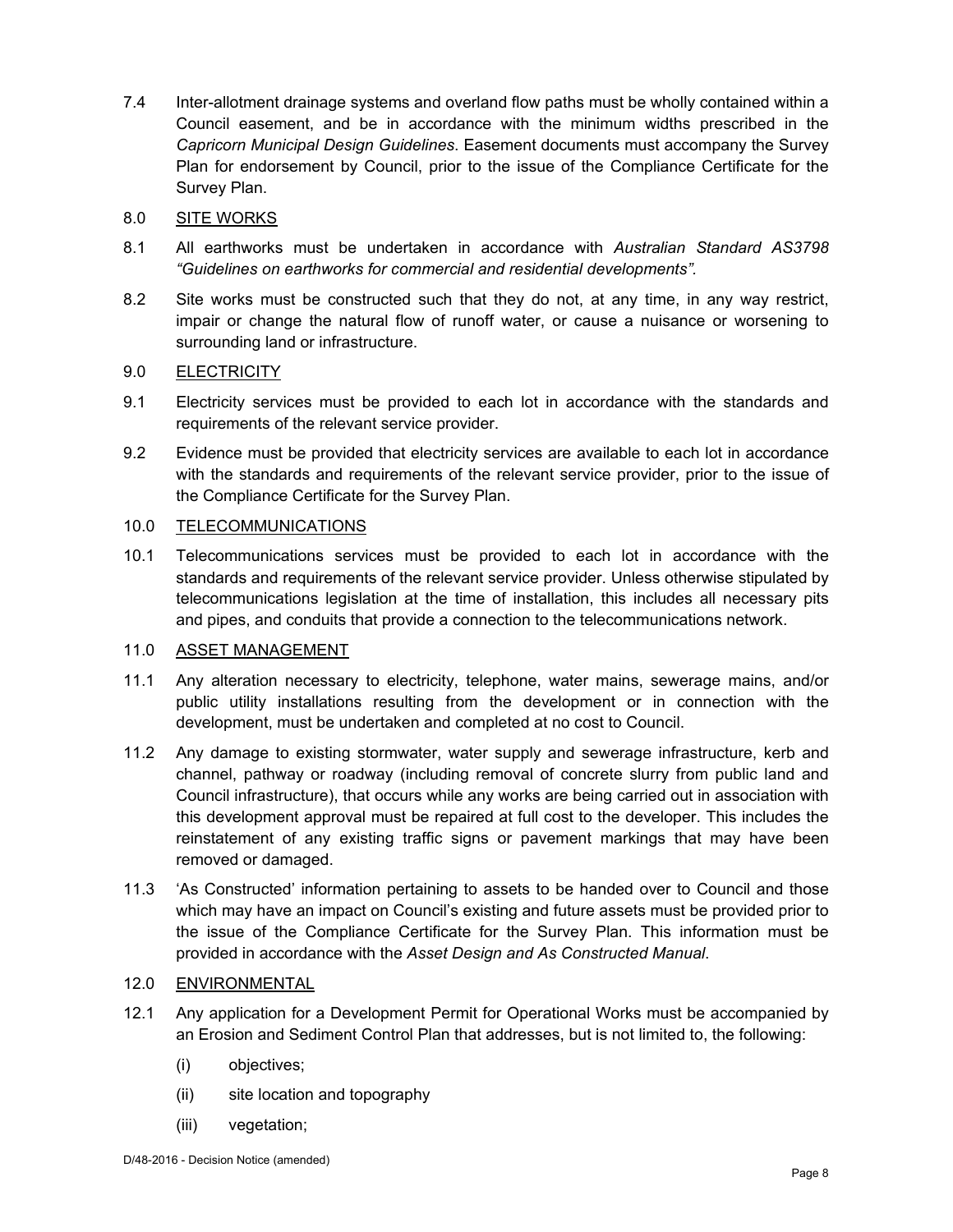7.4 Inter-allotment drainage systems and overland flow paths must be wholly contained within a Council easement, and be in accordance with the minimum widths prescribed in the *Capricorn Municipal Design Guidelines*. Easement documents must accompany the Survey Plan for endorsement by Council, prior to the issue of the Compliance Certificate for the Survey Plan.

# 8.0 SITE WORKS

- 8.1 All earthworks must be undertaken in accordance with *Australian Standard AS3798 "Guidelines on earthworks for commercial and residential developments".*
- 8.2 Site works must be constructed such that they do not, at any time, in any way restrict, impair or change the natural flow of runoff water, or cause a nuisance or worsening to surrounding land or infrastructure.

# 9.0 ELECTRICITY

- 9.1 Electricity services must be provided to each lot in accordance with the standards and requirements of the relevant service provider.
- 9.2 Evidence must be provided that electricity services are available to each lot in accordance with the standards and requirements of the relevant service provider, prior to the issue of the Compliance Certificate for the Survey Plan.

#### 10.0 TELECOMMUNICATIONS

10.1 Telecommunications services must be provided to each lot in accordance with the standards and requirements of the relevant service provider. Unless otherwise stipulated by telecommunications legislation at the time of installation, this includes all necessary pits and pipes, and conduits that provide a connection to the telecommunications network.

# 11.0 ASSET MANAGEMENT

- 11.1 Any alteration necessary to electricity, telephone, water mains, sewerage mains, and/or public utility installations resulting from the development or in connection with the development, must be undertaken and completed at no cost to Council.
- 11.2 Any damage to existing stormwater, water supply and sewerage infrastructure, kerb and channel, pathway or roadway (including removal of concrete slurry from public land and Council infrastructure), that occurs while any works are being carried out in association with this development approval must be repaired at full cost to the developer. This includes the reinstatement of any existing traffic signs or pavement markings that may have been removed or damaged.
- 11.3 'As Constructed' information pertaining to assets to be handed over to Council and those which may have an impact on Council's existing and future assets must be provided prior to the issue of the Compliance Certificate for the Survey Plan. This information must be provided in accordance with the *Asset Design and As Constructed Manual*.

# 12.0 ENVIRONMENTAL

- 12.1 Any application for a Development Permit for Operational Works must be accompanied by an Erosion and Sediment Control Plan that addresses, but is not limited to, the following:
	- (i) objectives;
	- (ii) site location and topography
	- (iii) vegetation;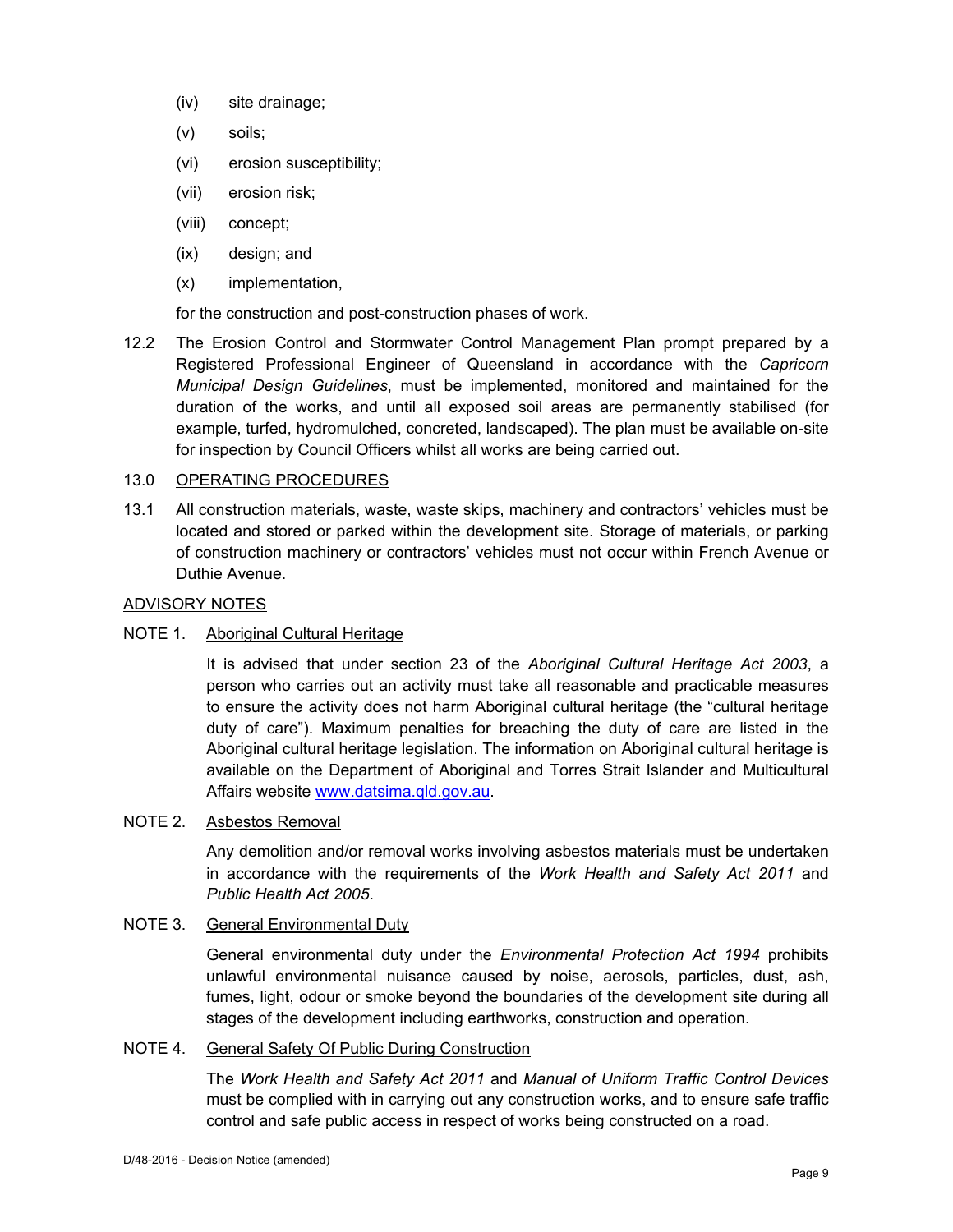- (iv) site drainage;
- (v) soils;
- (vi) erosion susceptibility;
- (vii) erosion risk;
- (viii) concept;
- (ix) design; and
- (x) implementation,

for the construction and post-construction phases of work.

12.2 The Erosion Control and Stormwater Control Management Plan prompt prepared by a Registered Professional Engineer of Queensland in accordance with the *Capricorn Municipal Design Guidelines*, must be implemented, monitored and maintained for the duration of the works, and until all exposed soil areas are permanently stabilised (for example, turfed, hydromulched, concreted, landscaped). The plan must be available on-site for inspection by Council Officers whilst all works are being carried out.

# 13.0 OPERATING PROCEDURES

13.1 All construction materials, waste, waste skips, machinery and contractors' vehicles must be located and stored or parked within the development site. Storage of materials, or parking of construction machinery or contractors' vehicles must not occur within French Avenue or Duthie Avenue.

# ADVISORY NOTES

# NOTE 1. Aboriginal Cultural Heritage

It is advised that under section 23 of the *Aboriginal Cultural Heritage Act 2003*, a person who carries out an activity must take all reasonable and practicable measures to ensure the activity does not harm Aboriginal cultural heritage (the "cultural heritage duty of care"). Maximum penalties for breaching the duty of care are listed in the Aboriginal cultural heritage legislation. The information on Aboriginal cultural heritage is available on the Department of Aboriginal and Torres Strait Islander and Multicultural Affairs website www.datsima.qld.gov.au.

# NOTE 2. Asbestos Removal

Any demolition and/or removal works involving asbestos materials must be undertaken in accordance with the requirements of the *Work Health and Safety Act 2011* and *Public Health Act 2005*.

# NOTE 3. General Environmental Duty

General environmental duty under the *Environmental Protection Act 1994* prohibits unlawful environmental nuisance caused by noise, aerosols, particles, dust, ash, fumes, light, odour or smoke beyond the boundaries of the development site during all stages of the development including earthworks, construction and operation.

# NOTE 4. General Safety Of Public During Construction

The *Work Health and Safety Act 2011* and *Manual of Uniform Traffic Control Devices* must be complied with in carrying out any construction works, and to ensure safe traffic control and safe public access in respect of works being constructed on a road.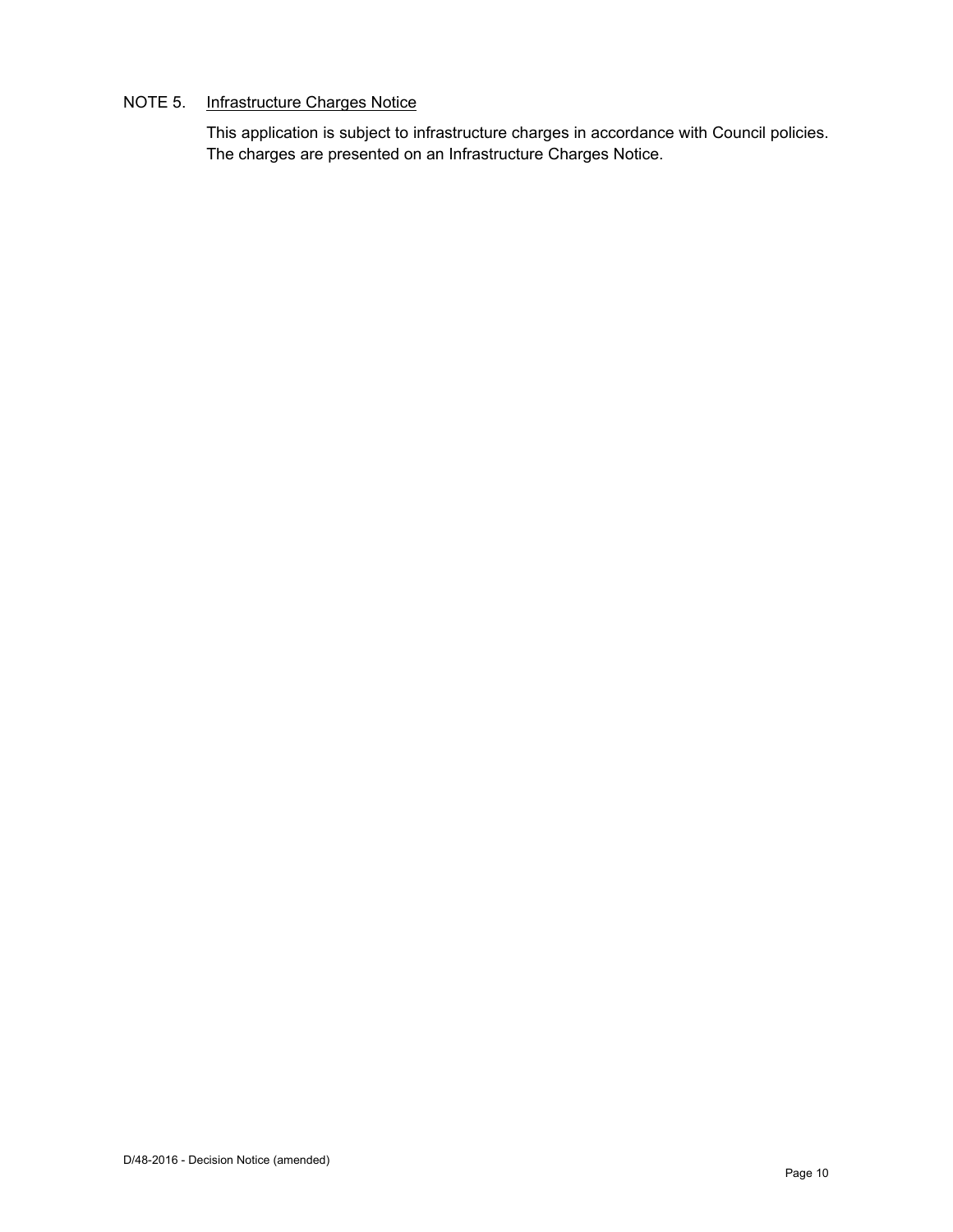# NOTE 5. Infrastructure Charges Notice

This application is subject to infrastructure charges in accordance with Council policies. The charges are presented on an Infrastructure Charges Notice.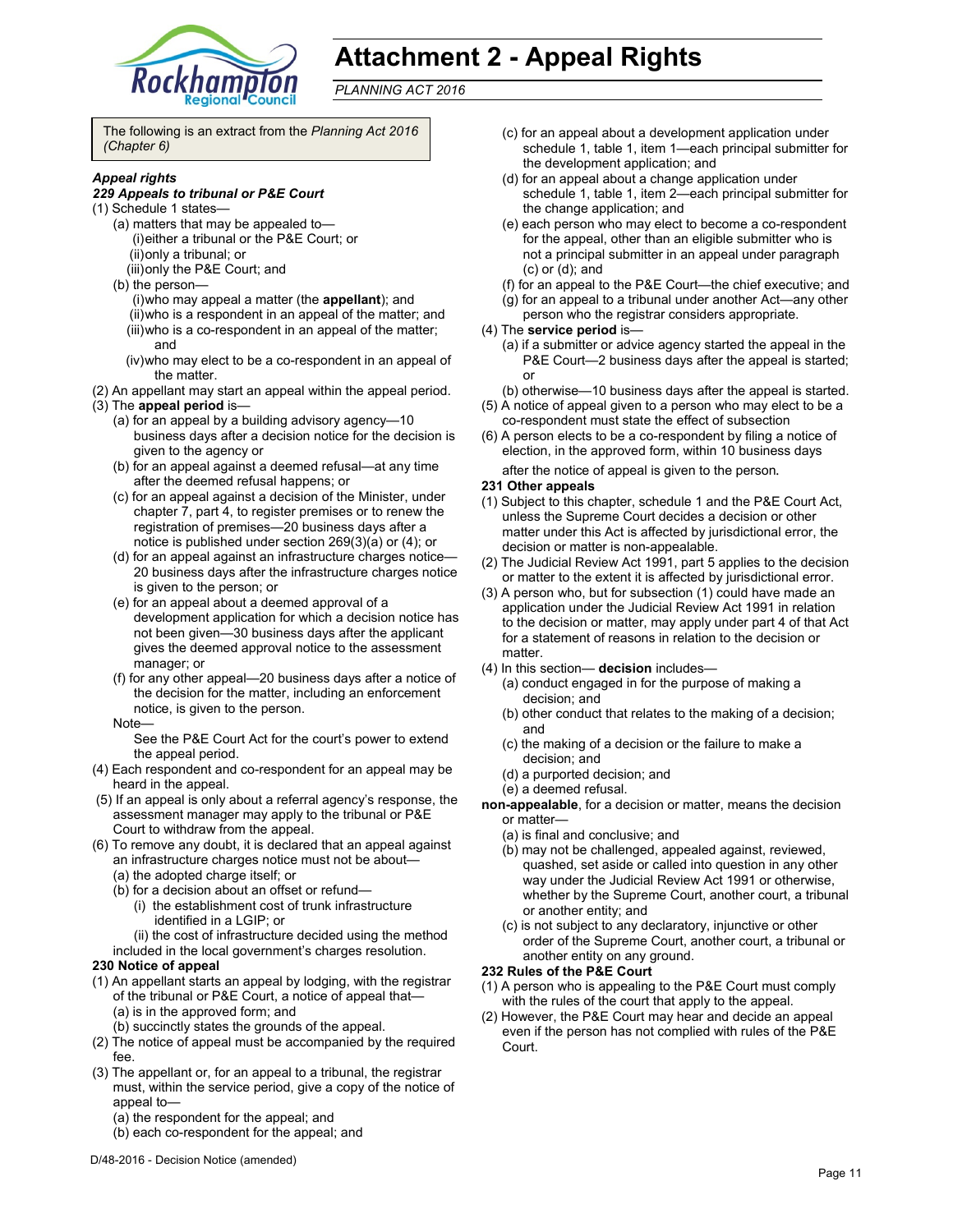

# **Attachment 2 - Appeal Rights**

*PLANNING ACT 2016*

The following is an extract from the *Planning Act 2016 (Chapter 6)* 

#### *Appeal rights*

#### *229 Appeals to tribunal or P&E Court*

- (1) Schedule 1 states—
	- (a) matters that may be appealed to— (i) either a tribunal or the P&E Court; or (ii) only a tribunal; or
		- (iii) only the P&E Court; and
	- (b) the person—
		- (i) who may appeal a matter (the **appellant**); and (ii) who is a respondent in an appeal of the matter; and (iii) who is a co-respondent in an appeal of the matter; and
		- (iv) who may elect to be a co-respondent in an appeal of the matter.
- (2) An appellant may start an appeal within the appeal period.
- (3) The **appeal period** is—
	- (a) for an appeal by a building advisory agency—10 business days after a decision notice for the decision is given to the agency or
	- (b) for an appeal against a deemed refusal—at any time after the deemed refusal happens; or
	- (c) for an appeal against a decision of the Minister, under chapter 7, part 4, to register premises or to renew the registration of premises—20 business days after a notice is published under section 269(3)(a) or (4); or
	- (d) for an appeal against an infrastructure charges notice— 20 business days after the infrastructure charges notice is given to the person; or
	- (e) for an appeal about a deemed approval of a development application for which a decision notice has not been given—30 business days after the applicant gives the deemed approval notice to the assessment manager; or
	- (f) for any other appeal—20 business days after a notice of the decision for the matter, including an enforcement notice, is given to the person.
	- Note—
		- See the P&E Court Act for the court's power to extend the appeal period.
- (4) Each respondent and co-respondent for an appeal may be heard in the appeal.
- (5) If an appeal is only about a referral agency's response, the assessment manager may apply to the tribunal or P&E Court to withdraw from the appeal.
- (6) To remove any doubt, it is declared that an appeal against an infrastructure charges notice must not be about—
	- (a) the adopted charge itself; or
	- (b) for a decision about an offset or refund—
		- (i) the establishment cost of trunk infrastructure identified in a LGIP; or
	- (ii) the cost of infrastructure decided using the method included in the local government's charges resolution.

#### **230 Notice of appeal**

- (1) An appellant starts an appeal by lodging, with the registrar of the tribunal or P&E Court, a notice of appeal that— (a) is in the approved form; and
	- (b) succinctly states the grounds of the appeal.
- (2) The notice of appeal must be accompanied by the required fee.
- (3) The appellant or, for an appeal to a tribunal, the registrar must, within the service period, give a copy of the notice of appeal to—
	- (a) the respondent for the appeal; and
	- (b) each co-respondent for the appeal; and
- (c) for an appeal about a development application under schedule 1, table 1, item 1—each principal submitter for the development application; and
- (d) for an appeal about a change application under schedule 1, table 1, item 2—each principal submitter for the change application; and
- (e) each person who may elect to become a co-respondent for the appeal, other than an eligible submitter who is not a principal submitter in an appeal under paragraph (c) or (d); and
- (f) for an appeal to the P&E Court—the chief executive; and
- (g) for an appeal to a tribunal under another Act—any other
- person who the registrar considers appropriate.
- (4) The **service period** is—
	- (a) if a submitter or advice agency started the appeal in the P&E Court—2 business days after the appeal is started; or
	- (b) otherwise—10 business days after the appeal is started.
- (5) A notice of appeal given to a person who may elect to be a co-respondent must state the effect of subsection
- (6) A person elects to be a co-respondent by filing a notice of election, in the approved form, within 10 business days after the notice of appeal is given to the person*.*

#### **231 Other appeals**

- (1) Subject to this chapter, schedule 1 and the P&E Court Act, unless the Supreme Court decides a decision or other matter under this Act is affected by jurisdictional error, the decision or matter is non-appealable.
- (2) The Judicial Review Act 1991, part 5 applies to the decision or matter to the extent it is affected by jurisdictional error.
- (3) A person who, but for subsection (1) could have made an application under the Judicial Review Act 1991 in relation to the decision or matter, may apply under part 4 of that Act for a statement of reasons in relation to the decision or matter.
- (4) In this section— **decision** includes—
	- (a) conduct engaged in for the purpose of making a decision; and
	- (b) other conduct that relates to the making of a decision; and
	- (c) the making of a decision or the failure to make a decision; and
	- (d) a purported decision; and
	- (e) a deemed refusal.
- **non-appealable**, for a decision or matter, means the decision or matter—
	- (a) is final and conclusive; and
	- (b) may not be challenged, appealed against, reviewed, quashed, set aside or called into question in any other way under the Judicial Review Act 1991 or otherwise, whether by the Supreme Court, another court, a tribunal or another entity; and
	- (c) is not subject to any declaratory, injunctive or other order of the Supreme Court, another court, a tribunal or another entity on any ground.

#### **232 Rules of the P&E Court**

- (1) A person who is appealing to the P&E Court must comply with the rules of the court that apply to the appeal.
- (2) However, the P&E Court may hear and decide an appeal even if the person has not complied with rules of the P&E Court.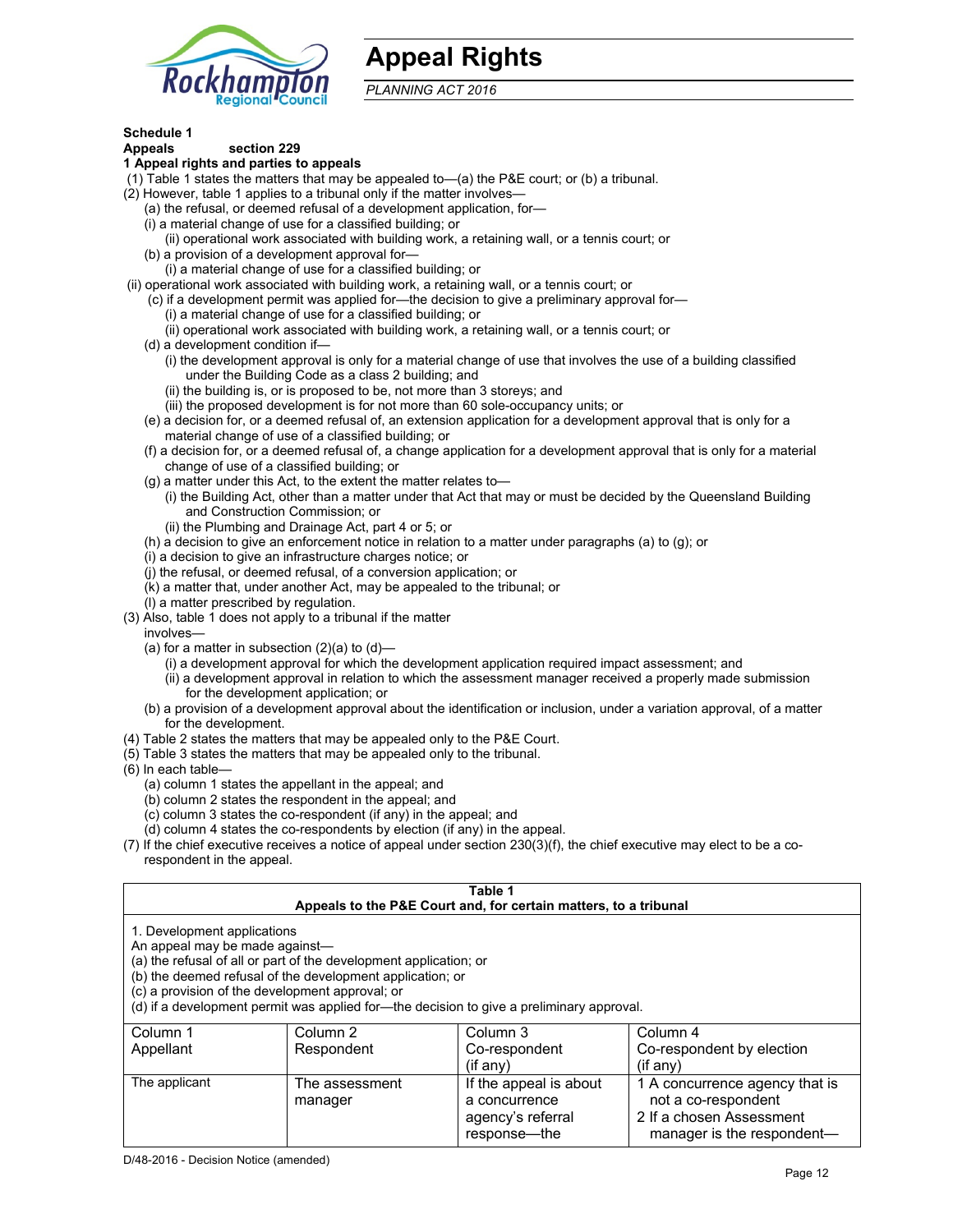

# **Appeal Rights**

*PLANNING ACT 2016*

# **Schedule 1**

#### **Appeals section 229 1 Appeal rights and parties to appeals**

- (1) Table 1 states the matters that may be appealed to—(a) the P&E court; or (b) a tribunal.
- (2) However, table 1 applies to a tribunal only if the matter involves—
	- (a) the refusal, or deemed refusal of a development application, for—
	- (i) a material change of use for a classified building; or
	- (ii) operational work associated with building work, a retaining wall, or a tennis court; or
	- (b) a provision of a development approval for—
	- (i) a material change of use for a classified building; or
- (ii) operational work associated with building work, a retaining wall, or a tennis court; or
	- (c) if a development permit was applied for—the decision to give a preliminary approval for—
		- (i) a material change of use for a classified building; or
		- (ii) operational work associated with building work, a retaining wall, or a tennis court; or
	- (d) a development condition if—
		- (i) the development approval is only for a material change of use that involves the use of a building classified under the Building Code as a class 2 building; and
		- (ii) the building is, or is proposed to be, not more than 3 storeys; and
		- (iii) the proposed development is for not more than 60 sole-occupancy units; or
	- (e) a decision for, or a deemed refusal of, an extension application for a development approval that is only for a material change of use of a classified building; or
	- (f) a decision for, or a deemed refusal of, a change application for a development approval that is only for a material change of use of a classified building; or
	- (g) a matter under this Act, to the extent the matter relates to—
		- (i) the Building Act, other than a matter under that Act that may or must be decided by the Queensland Building and Construction Commission; or
		- (ii) the Plumbing and Drainage Act, part 4 or 5; or
	- (h) a decision to give an enforcement notice in relation to a matter under paragraphs (a) to (g); or
	- (i) a decision to give an infrastructure charges notice; or
	- (j) the refusal, or deemed refusal, of a conversion application; or
	- (k) a matter that, under another Act, may be appealed to the tribunal; or
	- (l) a matter prescribed by regulation.
- (3) Also, table 1 does not apply to a tribunal if the matter
- involves—
	- (a) for a matter in subsection  $(2)(a)$  to  $(d)$ 
		- (i) a development approval for which the development application required impact assessment; and
		- (ii) a development approval in relation to which the assessment manager received a properly made submission for the development application; or
	- (b) a provision of a development approval about the identification or inclusion, under a variation approval, of a matter for the development.
- (4) Table 2 states the matters that may be appealed only to the P&E Court.
- (5) Table 3 states the matters that may be appealed only to the tribunal.
- (6) In each table—
	- (a) column 1 states the appellant in the appeal; and
	- (b) column 2 states the respondent in the appeal; and
	- (c) column 3 states the co-respondent (if any) in the appeal; and
	- (d) column 4 states the co-respondents by election (if any) in the appeal.
- (7) If the chief executive receives a notice of appeal under section 230(3)(f), the chief executive may elect to be a corespondent in the appeal.

| Table 1                                                                                                                                                                                                                                                                                                                                        |                           |                                         |                                                       |
|------------------------------------------------------------------------------------------------------------------------------------------------------------------------------------------------------------------------------------------------------------------------------------------------------------------------------------------------|---------------------------|-----------------------------------------|-------------------------------------------------------|
| Appeals to the P&E Court and, for certain matters, to a tribunal                                                                                                                                                                                                                                                                               |                           |                                         |                                                       |
| 1. Development applications<br>An appeal may be made against-<br>(a) the refusal of all or part of the development application; or<br>(b) the deemed refusal of the development application; or<br>(c) a provision of the development approval; or<br>(d) if a development permit was applied for—the decision to give a preliminary approval. |                           |                                         |                                                       |
| Column 1                                                                                                                                                                                                                                                                                                                                       | Column 2                  | Column 3                                | Column 4                                              |
| Appellant                                                                                                                                                                                                                                                                                                                                      | Respondent                | Co-respondent<br>$(if$ any)             | Co-respondent by election<br>$($ if any $)$           |
| The applicant                                                                                                                                                                                                                                                                                                                                  | The assessment<br>manager | If the appeal is about<br>a concurrence | 1 A concurrence agency that is<br>not a co-respondent |

agency's referral response—the

2 If a chosen Assessment manager is the respondent-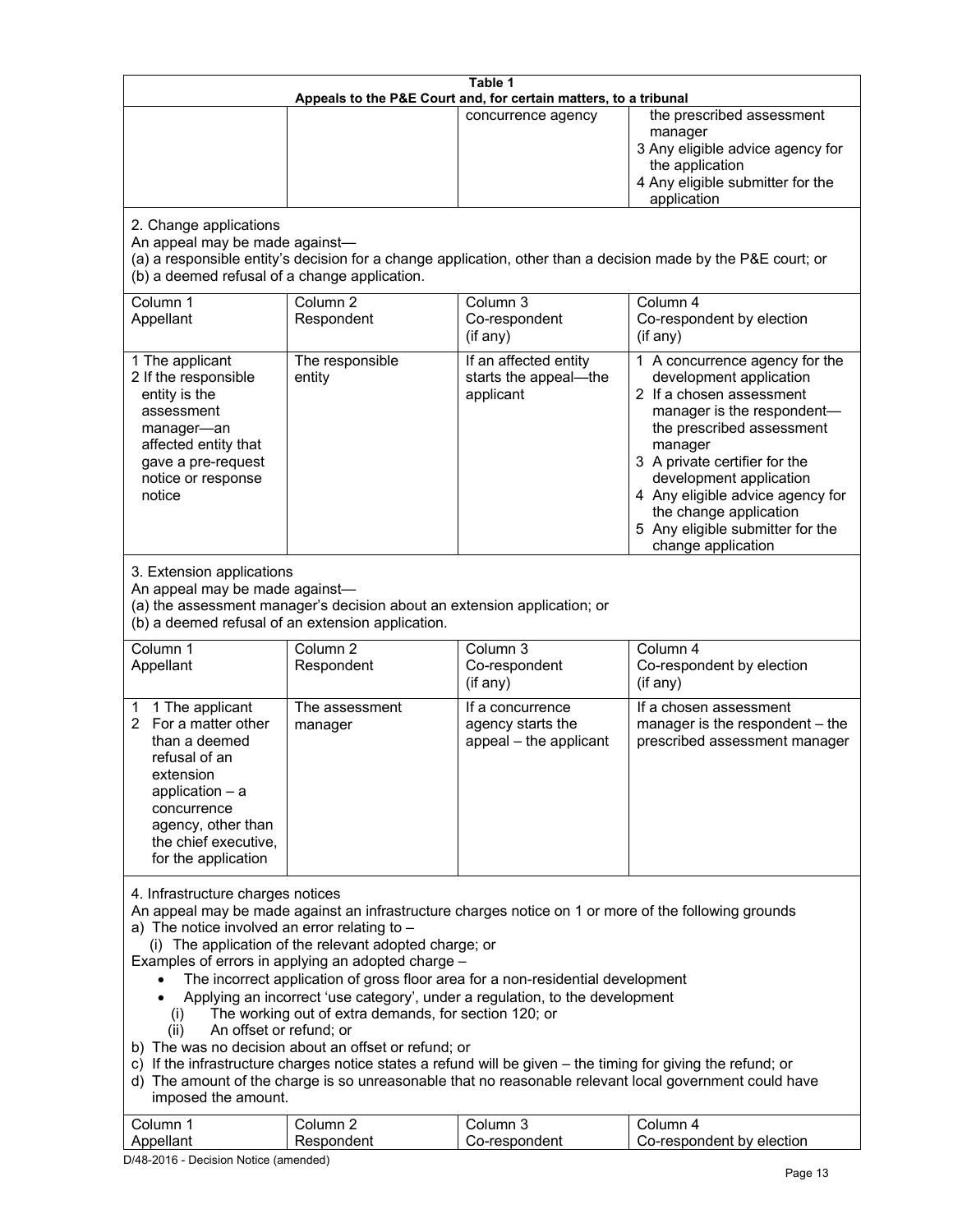| Table 1<br>Appeals to the P&E Court and, for certain matters, to a tribunal                                                                                                                                                                                                                                                                                                                                                                                                                                                                                                                                                                                                                                                                                                                                                                                                                                                                            |                                   |                                                                 |                                                                                                                                                                                                                                                                                                                                                 |
|--------------------------------------------------------------------------------------------------------------------------------------------------------------------------------------------------------------------------------------------------------------------------------------------------------------------------------------------------------------------------------------------------------------------------------------------------------------------------------------------------------------------------------------------------------------------------------------------------------------------------------------------------------------------------------------------------------------------------------------------------------------------------------------------------------------------------------------------------------------------------------------------------------------------------------------------------------|-----------------------------------|-----------------------------------------------------------------|-------------------------------------------------------------------------------------------------------------------------------------------------------------------------------------------------------------------------------------------------------------------------------------------------------------------------------------------------|
|                                                                                                                                                                                                                                                                                                                                                                                                                                                                                                                                                                                                                                                                                                                                                                                                                                                                                                                                                        |                                   | concurrence agency                                              | the prescribed assessment<br>manager<br>3 Any eligible advice agency for<br>the application<br>4 Any eligible submitter for the<br>application                                                                                                                                                                                                  |
| 2. Change applications<br>An appeal may be made against-<br>(b) a deemed refusal of a change application.                                                                                                                                                                                                                                                                                                                                                                                                                                                                                                                                                                                                                                                                                                                                                                                                                                              |                                   |                                                                 | (a) a responsible entity's decision for a change application, other than a decision made by the P&E court; or                                                                                                                                                                                                                                   |
| Column 1<br>Appellant                                                                                                                                                                                                                                                                                                                                                                                                                                                                                                                                                                                                                                                                                                                                                                                                                                                                                                                                  | Column <sub>2</sub><br>Respondent | Column 3<br>Co-respondent<br>(if any)                           | Column 4<br>Co-respondent by election<br>(if any)                                                                                                                                                                                                                                                                                               |
| 1 The applicant<br>2 If the responsible<br>entity is the<br>assessment<br>manager-an<br>affected entity that<br>gave a pre-request<br>notice or response<br>notice                                                                                                                                                                                                                                                                                                                                                                                                                                                                                                                                                                                                                                                                                                                                                                                     | The responsible<br>entity         | If an affected entity<br>starts the appeal-the<br>applicant     | 1 A concurrence agency for the<br>development application<br>2 If a chosen assessment<br>manager is the respondent-<br>the prescribed assessment<br>manager<br>3 A private certifier for the<br>development application<br>4 Any eligible advice agency for<br>the change application<br>5 Any eligible submitter for the<br>change application |
| 3. Extension applications<br>An appeal may be made against-<br>(a) the assessment manager's decision about an extension application; or<br>(b) a deemed refusal of an extension application.                                                                                                                                                                                                                                                                                                                                                                                                                                                                                                                                                                                                                                                                                                                                                           |                                   |                                                                 |                                                                                                                                                                                                                                                                                                                                                 |
| Column 1<br>Appellant                                                                                                                                                                                                                                                                                                                                                                                                                                                                                                                                                                                                                                                                                                                                                                                                                                                                                                                                  | Column <sub>2</sub><br>Respondent | Column 3<br>Co-respondent<br>(if any)                           | Column 4<br>Co-respondent by election<br>$($ if any $)$                                                                                                                                                                                                                                                                                         |
| 1 The applicant<br>1<br>For a matter other<br>2<br>than a deemed<br>refusal of an<br>extension<br>application $-$ a<br>concurrence<br>agency, other than<br>the chief executive,<br>for the application                                                                                                                                                                                                                                                                                                                                                                                                                                                                                                                                                                                                                                                                                                                                                | The assessment<br>manager         | If a concurrence<br>agency starts the<br>appeal - the applicant | If a chosen assessment<br>manager is the respondent - the<br>prescribed assessment manager                                                                                                                                                                                                                                                      |
| 4. Infrastructure charges notices<br>An appeal may be made against an infrastructure charges notice on 1 or more of the following grounds<br>a) The notice involved an error relating to $-$<br>(i) The application of the relevant adopted charge; or<br>Examples of errors in applying an adopted charge -<br>The incorrect application of gross floor area for a non-residential development<br>Applying an incorrect 'use category', under a regulation, to the development<br>The working out of extra demands, for section 120; or<br>(i)<br>An offset or refund; or<br>(ii)<br>b) The was no decision about an offset or refund; or<br>c) If the infrastructure charges notice states a refund will be given - the timing for giving the refund; or<br>d) The amount of the charge is so unreasonable that no reasonable relevant local government could have<br>imposed the amount.<br>Column 3<br>Column 1<br>Column <sub>2</sub><br>Column 4 |                                   |                                                                 |                                                                                                                                                                                                                                                                                                                                                 |
| Appellant                                                                                                                                                                                                                                                                                                                                                                                                                                                                                                                                                                                                                                                                                                                                                                                                                                                                                                                                              | Respondent                        | Co-respondent                                                   | Co-respondent by election                                                                                                                                                                                                                                                                                                                       |

D/48-2016 - Decision Notice (amended)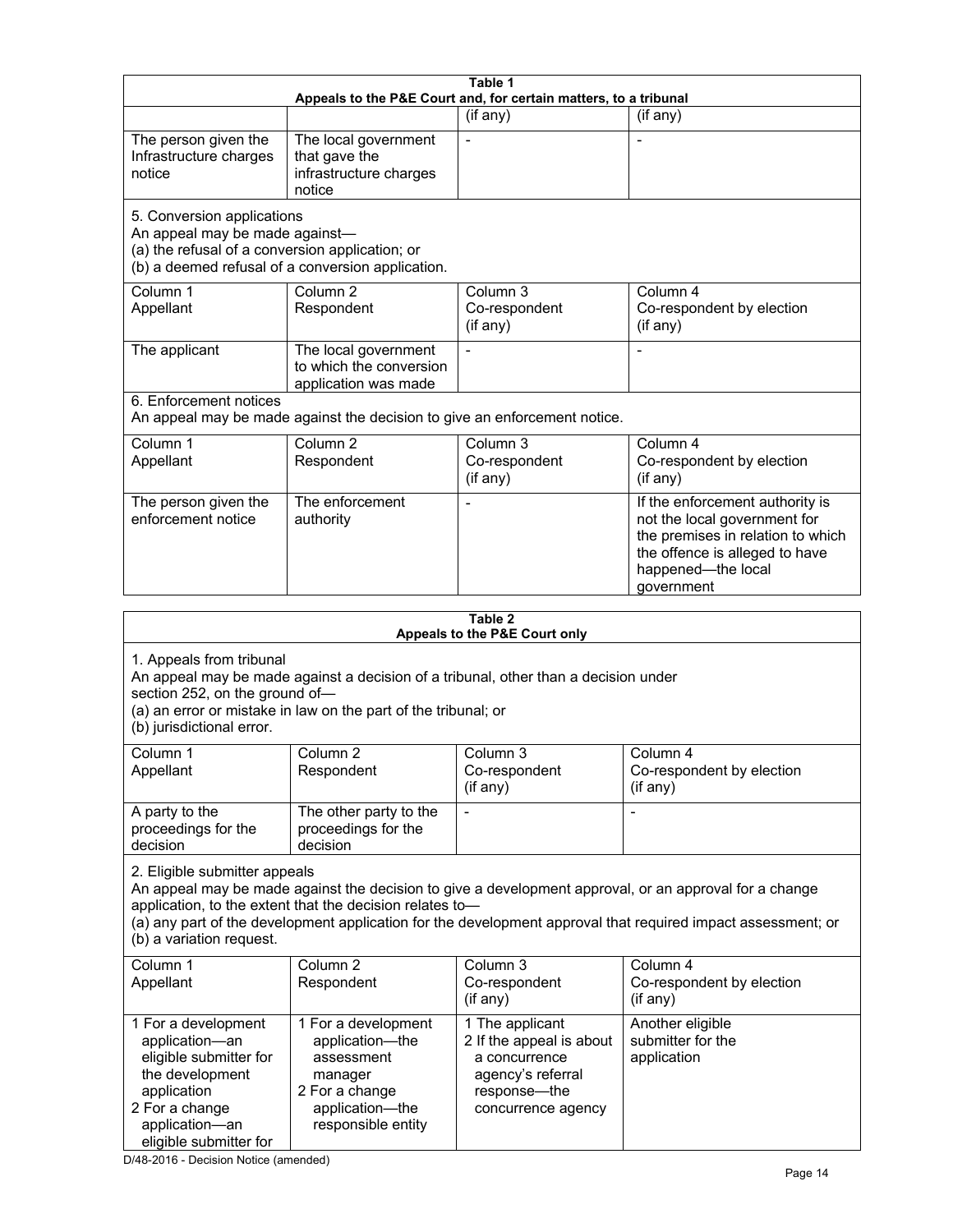|                                                                                                                                                                                                                                                  |                                                                                                                            | Table 1                                                                                                                 |                                                                                                                                                                                                                        |  |
|--------------------------------------------------------------------------------------------------------------------------------------------------------------------------------------------------------------------------------------------------|----------------------------------------------------------------------------------------------------------------------------|-------------------------------------------------------------------------------------------------------------------------|------------------------------------------------------------------------------------------------------------------------------------------------------------------------------------------------------------------------|--|
| Appeals to the P&E Court and, for certain matters, to a tribunal                                                                                                                                                                                 |                                                                                                                            |                                                                                                                         |                                                                                                                                                                                                                        |  |
|                                                                                                                                                                                                                                                  |                                                                                                                            | (if any)                                                                                                                | (if any)                                                                                                                                                                                                               |  |
| The person given the<br>Infrastructure charges<br>notice                                                                                                                                                                                         | The local government<br>that gave the<br>infrastructure charges<br>notice                                                  | $\blacksquare$                                                                                                          |                                                                                                                                                                                                                        |  |
| 5. Conversion applications<br>An appeal may be made against-<br>(a) the refusal of a conversion application; or                                                                                                                                  | (b) a deemed refusal of a conversion application.                                                                          |                                                                                                                         |                                                                                                                                                                                                                        |  |
| Column 1<br>Appellant                                                                                                                                                                                                                            | Column <sub>2</sub><br>Respondent                                                                                          | Column 3<br>Co-respondent<br>(if any)                                                                                   | Column 4<br>Co-respondent by election<br>(if any)                                                                                                                                                                      |  |
| The applicant                                                                                                                                                                                                                                    | The local government<br>to which the conversion<br>application was made                                                    |                                                                                                                         |                                                                                                                                                                                                                        |  |
| 6. Enforcement notices                                                                                                                                                                                                                           | An appeal may be made against the decision to give an enforcement notice.                                                  |                                                                                                                         |                                                                                                                                                                                                                        |  |
| Column 1<br>Appellant                                                                                                                                                                                                                            | Column <sub>2</sub><br>Respondent                                                                                          | Column <sub>3</sub><br>Co-respondent<br>(if any)                                                                        | Column 4<br>Co-respondent by election<br>(if any)                                                                                                                                                                      |  |
| The person given the<br>enforcement notice                                                                                                                                                                                                       | The enforcement<br>authority                                                                                               |                                                                                                                         | If the enforcement authority is<br>not the local government for<br>the premises in relation to which<br>the offence is alleged to have<br>happened-the local<br>government                                             |  |
|                                                                                                                                                                                                                                                  |                                                                                                                            | Table 2                                                                                                                 |                                                                                                                                                                                                                        |  |
|                                                                                                                                                                                                                                                  |                                                                                                                            | Appeals to the P&E Court only                                                                                           |                                                                                                                                                                                                                        |  |
| 1. Appeals from tribunal<br>An appeal may be made against a decision of a tribunal, other than a decision under<br>section 252, on the ground of-<br>(a) an error or mistake in law on the part of the tribunal; or<br>(b) jurisdictional error. |                                                                                                                            |                                                                                                                         |                                                                                                                                                                                                                        |  |
| Column 1<br>Appellant                                                                                                                                                                                                                            | Column <sub>2</sub><br>Respondent                                                                                          | Column 3<br>Co-respondent<br>(if any)                                                                                   | Column 4<br>Co-respondent by election<br>(if any)                                                                                                                                                                      |  |
| A party to the<br>proceedings for the<br>decision                                                                                                                                                                                                | The other party to the<br>proceedings for the<br>decision                                                                  |                                                                                                                         |                                                                                                                                                                                                                        |  |
| 2. Eligible submitter appeals<br>(b) a variation request.                                                                                                                                                                                        | application, to the extent that the decision relates to-                                                                   |                                                                                                                         | An appeal may be made against the decision to give a development approval, or an approval for a change<br>(a) any part of the development application for the development approval that required impact assessment; or |  |
| Column 1<br>Appellant                                                                                                                                                                                                                            | Column <sub>2</sub><br>Respondent                                                                                          | Column 3<br>Co-respondent<br>(if any)                                                                                   | Column 4<br>Co-respondent by election<br>(if any)                                                                                                                                                                      |  |
| 1 For a development<br>application-an<br>eligible submitter for<br>the development<br>application<br>2 For a change<br>application-an<br>eligible submitter for                                                                                  | 1 For a development<br>application-the<br>assessment<br>manager<br>2 For a change<br>application-the<br>responsible entity | 1 The applicant<br>2 If the appeal is about<br>a concurrence<br>agency's referral<br>response-the<br>concurrence agency | Another eligible<br>submitter for the<br>application                                                                                                                                                                   |  |

D/48-2016 - Decision Notice (amended)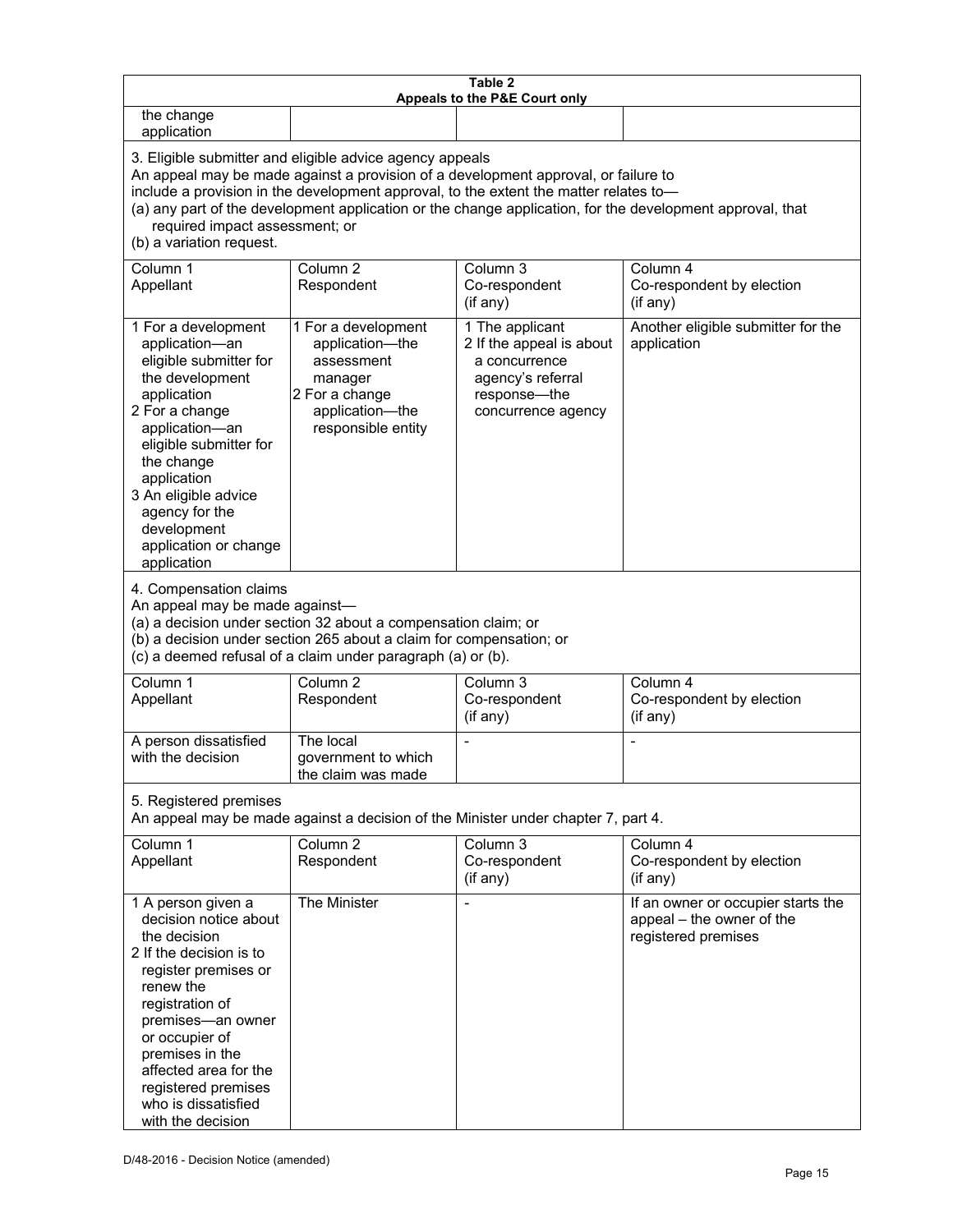| Table 2<br>Appeals to the P&E Court only                                                                                                                                                                                                                                                                                                                                                                           |                                                                                                                            |                                                                                                                         |                                                                                        |
|--------------------------------------------------------------------------------------------------------------------------------------------------------------------------------------------------------------------------------------------------------------------------------------------------------------------------------------------------------------------------------------------------------------------|----------------------------------------------------------------------------------------------------------------------------|-------------------------------------------------------------------------------------------------------------------------|----------------------------------------------------------------------------------------|
| the change<br>application                                                                                                                                                                                                                                                                                                                                                                                          |                                                                                                                            |                                                                                                                         |                                                                                        |
| 3. Eligible submitter and eligible advice agency appeals<br>An appeal may be made against a provision of a development approval, or failure to<br>include a provision in the development approval, to the extent the matter relates to-<br>(a) any part of the development application or the change application, for the development approval, that<br>required impact assessment; or<br>(b) a variation request. |                                                                                                                            |                                                                                                                         |                                                                                        |
| Column 1<br>Appellant                                                                                                                                                                                                                                                                                                                                                                                              | Column <sub>2</sub><br>Respondent                                                                                          | Column 3<br>Co-respondent<br>(if any)                                                                                   | Column 4<br>Co-respondent by election<br>(if any)                                      |
| 1 For a development<br>application-an<br>eligible submitter for<br>the development<br>application<br>2 For a change<br>application-an<br>eligible submitter for<br>the change<br>application<br>3 An eligible advice<br>agency for the<br>development<br>application or change<br>application                                                                                                                      | 1 For a development<br>application-the<br>assessment<br>manager<br>2 For a change<br>application-the<br>responsible entity | 1 The applicant<br>2 If the appeal is about<br>a concurrence<br>agency's referral<br>response-the<br>concurrence agency | Another eligible submitter for the<br>application                                      |
| 4. Compensation claims<br>An appeal may be made against-<br>(a) a decision under section 32 about a compensation claim; or<br>(b) a decision under section 265 about a claim for compensation; or<br>(c) a deemed refusal of a claim under paragraph (a) or (b).                                                                                                                                                   |                                                                                                                            |                                                                                                                         |                                                                                        |
| Column 1<br>Appellant                                                                                                                                                                                                                                                                                                                                                                                              | Column <sub>2</sub><br>Respondent                                                                                          | Column $3$<br>Co-respondent<br>(if any)                                                                                 | Column 4<br>Co-respondent by election<br>(if any)                                      |
| A person dissatisfied<br>with the decision                                                                                                                                                                                                                                                                                                                                                                         | The local<br>government to which<br>the claim was made                                                                     |                                                                                                                         |                                                                                        |
| 5. Registered premises<br>An appeal may be made against a decision of the Minister under chapter 7, part 4.                                                                                                                                                                                                                                                                                                        |                                                                                                                            |                                                                                                                         |                                                                                        |
| Column 1<br>Appellant                                                                                                                                                                                                                                                                                                                                                                                              | Column <sub>2</sub><br>Respondent                                                                                          | Column 3<br>Co-respondent<br>(if any)                                                                                   | Column 4<br>Co-respondent by election<br>(if any)                                      |
| 1 A person given a<br>decision notice about<br>the decision<br>2 If the decision is to<br>register premises or<br>renew the<br>registration of<br>premises-an owner<br>or occupier of<br>premises in the<br>affected area for the<br>registered premises<br>who is dissatisfied<br>with the decision                                                                                                               | The Minister                                                                                                               | $\blacksquare$                                                                                                          | If an owner or occupier starts the<br>appeal - the owner of the<br>registered premises |